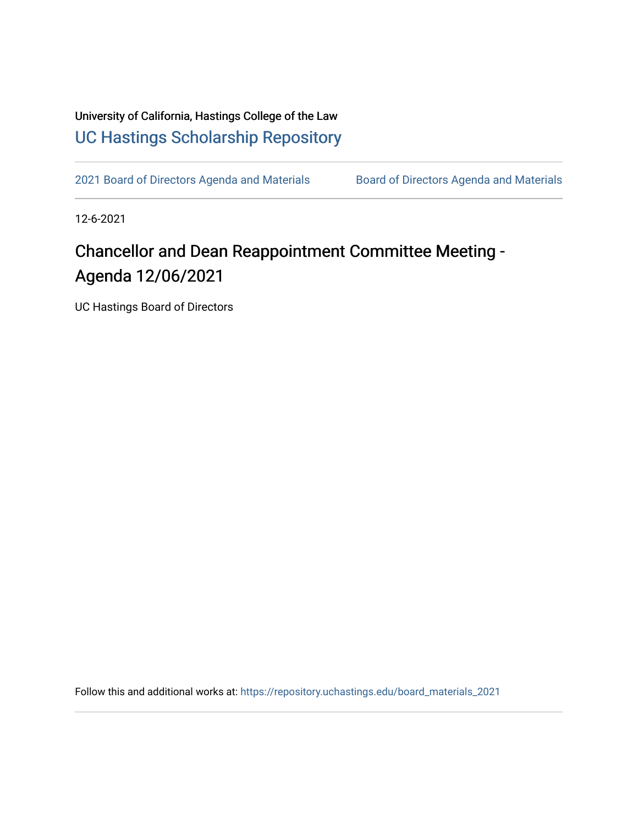University of California, Hastings College of the Law [UC Hastings Scholarship Repository](https://repository.uchastings.edu/) 

[2021 Board of Directors Agenda and Materials](https://repository.uchastings.edu/board_materials_2021) Board of Directors Agenda and Materials

12-6-2021

## Chancellor and Dean Reappointment Committee Meeting - Agenda 12/06/2021

UC Hastings Board of Directors

Follow this and additional works at: [https://repository.uchastings.edu/board\\_materials\\_2021](https://repository.uchastings.edu/board_materials_2021?utm_source=repository.uchastings.edu%2Fboard_materials_2021%2F88&utm_medium=PDF&utm_campaign=PDFCoverPages)